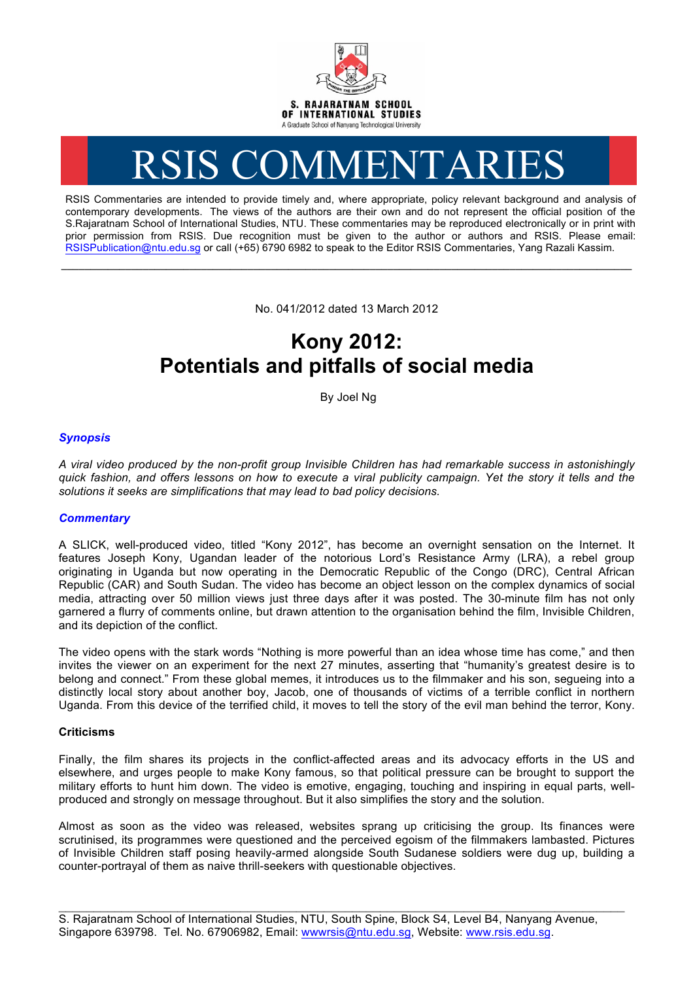

# RSIS COMMENTARIES

RSIS Commentaries are intended to provide timely and, where appropriate, policy relevant background and analysis of contemporary developments. The views of the authors are their own and do not represent the official position of the S.Rajaratnam School of International Studies, NTU. These commentaries may be reproduced electronically or in print with prior permission from RSIS. Due recognition must be given to the author or authors and RSIS. Please email: RSISPublication@ntu.edu.sg or call (+65) 6790 6982 to speak to the Editor RSIS Commentaries, Yang Razali Kassim.

No. 041/2012 dated 13 March 2012

**\_\_\_\_\_\_\_\_\_\_\_\_\_\_\_\_\_\_\_\_\_\_\_\_\_\_\_\_\_\_\_\_\_\_\_\_\_\_\_\_\_\_\_\_\_\_\_\_\_\_\_\_\_\_\_\_\_\_\_\_\_\_\_\_\_\_\_\_\_\_\_\_\_\_\_\_\_\_\_\_\_\_\_\_\_\_\_\_\_\_\_\_\_\_\_\_\_\_**

# **Kony 2012: Potentials and pitfalls of social media**

By Joel Ng

# *Synopsis*

*A viral video produced by the non-profit group Invisible Children has had remarkable success in astonishingly quick fashion, and offers lessons on how to execute a viral publicity campaign. Yet the story it tells and the solutions it seeks are simplifications that may lead to bad policy decisions.*

# *Commentary*

A SLICK, well-produced video, titled "Kony 2012", has become an overnight sensation on the Internet. It features Joseph Kony, Ugandan leader of the notorious Lord's Resistance Army (LRA), a rebel group originating in Uganda but now operating in the Democratic Republic of the Congo (DRC), Central African Republic (CAR) and South Sudan. The video has become an object lesson on the complex dynamics of social media, attracting over 50 million views just three days after it was posted. The 30-minute film has not only garnered a flurry of comments online, but drawn attention to the organisation behind the film, Invisible Children, and its depiction of the conflict.

The video opens with the stark words "Nothing is more powerful than an idea whose time has come," and then invites the viewer on an experiment for the next 27 minutes, asserting that "humanity's greatest desire is to belong and connect." From these global memes, it introduces us to the filmmaker and his son, segueing into a distinctly local story about another boy, Jacob, one of thousands of victims of a terrible conflict in northern Uganda. From this device of the terrified child, it moves to tell the story of the evil man behind the terror, Kony.

#### **Criticisms**

Finally, the film shares its projects in the conflict-affected areas and its advocacy efforts in the US and elsewhere, and urges people to make Kony famous, so that political pressure can be brought to support the military efforts to hunt him down. The video is emotive, engaging, touching and inspiring in equal parts, wellproduced and strongly on message throughout. But it also simplifies the story and the solution.

Almost as soon as the video was released, websites sprang up criticising the group. Its finances were scrutinised, its programmes were questioned and the perceived egoism of the filmmakers lambasted. Pictures of Invisible Children staff posing heavily-armed alongside South Sudanese soldiers were dug up, building a counter-portrayal of them as naive thrill-seekers with questionable objectives.